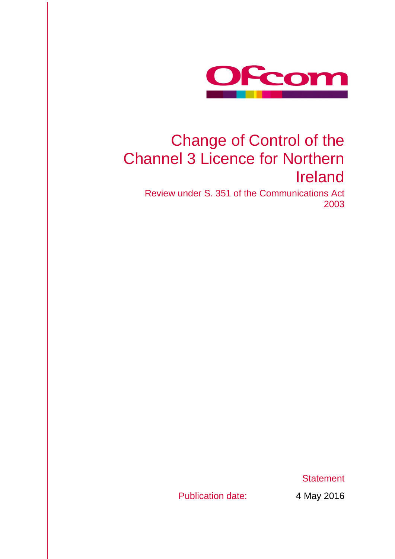

# Change of Control of the Channel 3 Licence for Northern Ireland

Review under S. 351 of the Communications Act 2003

**Statement** 

Publication date: 4 May 2016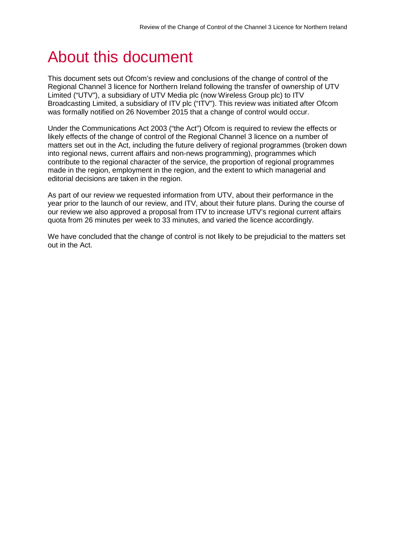# About this document

This document sets out Ofcom's review and conclusions of the change of control of the Regional Channel 3 licence for Northern Ireland following the transfer of ownership of UTV Limited ("UTV"), a subsidiary of UTV Media plc (now Wireless Group plc) to ITV Broadcasting Limited, a subsidiary of ITV plc ("ITV"). This review was initiated after Ofcom was formally notified on 26 November 2015 that a change of control would occur.

Under the Communications Act 2003 ("the Act") Ofcom is required to review the effects or likely effects of the change of control of the Regional Channel 3 licence on a number of matters set out in the Act, including the future delivery of regional programmes (broken down into regional news, current affairs and non-news programming), programmes which contribute to the regional character of the service, the proportion of regional programmes made in the region, employment in the region, and the extent to which managerial and editorial decisions are taken in the region.

As part of our review we requested information from UTV, about their performance in the year prior to the launch of our review, and ITV, about their future plans. During the course of our review we also approved a proposal from ITV to increase UTV's regional current affairs quota from 26 minutes per week to 33 minutes, and varied the licence accordingly.

We have concluded that the change of control is not likely to be prejudicial to the matters set out in the Act.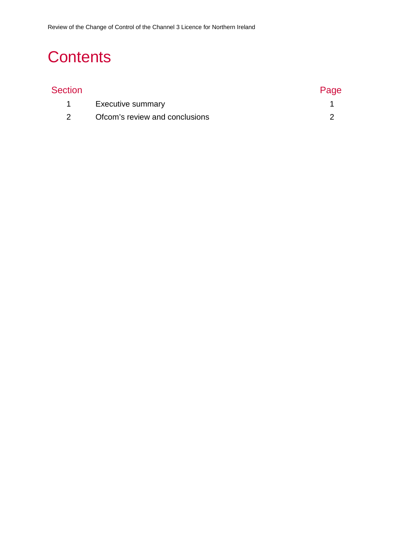# **Contents**

| Section |                                | Page |
|---------|--------------------------------|------|
|         | <b>Executive summary</b>       |      |
|         | Ofcom's review and conclusions |      |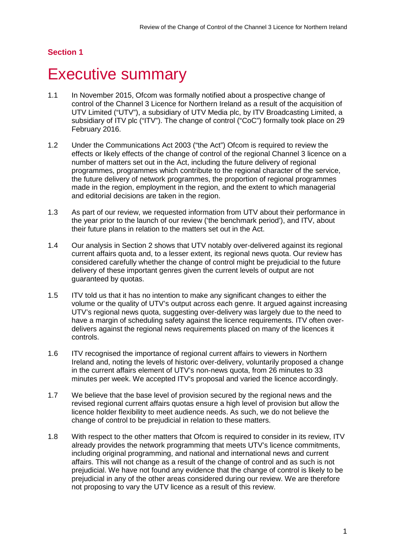## **Section 1**

# <span id="page-3-0"></span>**Executive summary**

- 1.1 In November 2015, Ofcom was formally notified about a prospective change of control of the Channel 3 Licence for Northern Ireland as a result of the acquisition of UTV Limited ("UTV"), a subsidiary of UTV Media plc, by ITV Broadcasting Limited, a subsidiary of ITV plc ("ITV"). The change of control ("CoC") formally took place on 29 February 2016.
- 1.2 Under the Communications Act 2003 ("the Act") Ofcom is required to review the effects or likely effects of the change of control of the regional Channel 3 licence on a number of matters set out in the Act, including the future delivery of regional programmes, programmes which contribute to the regional character of the service, the future delivery of network programmes, the proportion of regional programmes made in the region, employment in the region, and the extent to which managerial and editorial decisions are taken in the region.
- 1.3 As part of our review, we requested information from UTV about their performance in the year prior to the launch of our review ('the benchmark period'), and ITV, about their future plans in relation to the matters set out in the Act.
- 1.4 Our analysis in Section 2 shows that UTV notably over-delivered against its regional current affairs quota and, to a lesser extent, its regional news quota. Our review has considered carefully whether the change of control might be prejudicial to the future delivery of these important genres given the current levels of output are not guaranteed by quotas.
- 1.5 ITV told us that it has no intention to make any significant changes to either the volume or the quality of UTV's output across each genre. It argued against increasing UTV's regional news quota, suggesting over-delivery was largely due to the need to have a margin of scheduling safety against the licence requirements. ITV often overdelivers against the regional news requirements placed on many of the licences it controls.
- 1.6 ITV recognised the importance of regional current affairs to viewers in Northern Ireland and, noting the levels of historic over-delivery, voluntarily proposed a change in the current affairs element of UTV's non-news quota, from 26 minutes to 33 minutes per week. We accepted ITV's proposal and varied the licence accordingly.
- 1.7 We believe that the base level of provision secured by the regional news and the revised regional current affairs quotas ensure a high level of provision but allow the licence holder flexibility to meet audience needs. As such, we do not believe the change of control to be prejudicial in relation to these matters.
- 1.8 With respect to the other matters that Ofcom is required to consider in its review, ITV already provides the network programming that meets UTV's licence commitments, including original programming, and national and international news and current affairs. This will not change as a result of the change of control and as such is not prejudicial. We have not found any evidence that the change of control is likely to be prejudicial in any of the other areas considered during our review. We are therefore not proposing to vary the UTV licence as a result of this review.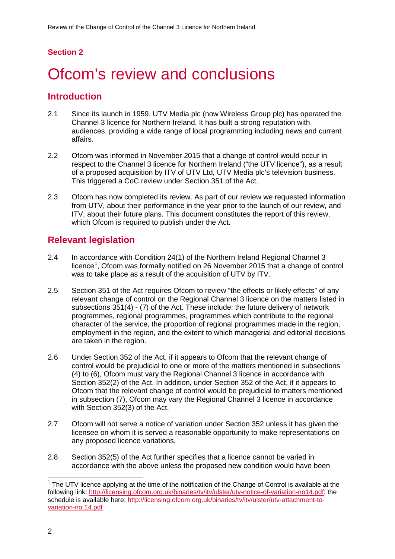# **Section 2**

# <span id="page-4-0"></span>Ofcom's review and conclusions

## **Introduction**

- 2.1 Since its launch in 1959, UTV Media plc (now Wireless Group plc) has operated the Channel 3 licence for Northern Ireland. It has built a strong reputation with audiences, providing a wide range of local programming including news and current affairs.
- 2.2 Ofcom was informed in November 2015 that a change of control would occur in respect to the Channel 3 licence for Northern Ireland ("the UTV licence"), as a result of a proposed acquisition by ITV of UTV Ltd, UTV Media plc's television business. This triggered a CoC review under Section 351 of the Act.
- 2.3 Ofcom has now completed its review. As part of our review we requested information from UTV, about their performance in the year prior to the launch of our review, and ITV, about their future plans. This document constitutes the report of this review, which Ofcom is required to publish under the Act.

# **Relevant legislation**

- 2.4 In accordance with Condition 24(1) of the Northern Ireland Regional Channel 3 licence<sup>[1](#page-4-1)</sup>, Ofcom was formally notified on 26 November 2015 that a change of control was to take place as a result of the acquisition of UTV by ITV.
- 2.5 Section 351 of the Act requires Ofcom to review "the effects or likely effects" of any relevant change of control on the Regional Channel 3 licence on the matters listed in subsections 351(4) - (7) of the Act. These include: the future delivery of network programmes, regional programmes, programmes which contribute to the regional character of the service, the proportion of regional programmes made in the region, employment in the region, and the extent to which managerial and editorial decisions are taken in the region.
- 2.6 Under Section 352 of the Act, if it appears to Ofcom that the relevant change of control would be prejudicial to one or more of the matters mentioned in subsections (4) to (6), Ofcom must vary the Regional Channel 3 licence in accordance with Section 352(2) of the Act. In addition, under Section 352 of the Act, if it appears to Ofcom that the relevant change of control would be prejudicial to matters mentioned in subsection (7), Ofcom may vary the Regional Channel 3 licence in accordance with Section 352(3) of the Act.
- 2.7 Ofcom will not serve a notice of variation under Section 352 unless it has given the licensee on whom it is served a reasonable opportunity to make representations on any proposed licence variations.
- 2.8 Section 352(5) of the Act further specifies that a licence cannot be varied in accordance with the above unless the proposed new condition would have been

<span id="page-4-1"></span> $1$  The UTV licence applying at the time of the notification of the Change of Control is available at the following link: [http://licensing.ofcom.org.uk/binaries/tv/itv/ulster/utv-notice-of-variation-no14.pdf;](http://licensing.ofcom.org.uk/binaries/tv/itv/ulster/utv-notice-of-variation-no14.pdf) the schedule is available here: [http://licensing.ofcom.org.uk/binaries/tv/itv/ulster/utv-attachment-to](http://licensing.ofcom.org.uk/binaries/tv/itv/ulster/utv-attachment-to-variation-no.14.pdf)[variation-no.14.pdf](http://licensing.ofcom.org.uk/binaries/tv/itv/ulster/utv-attachment-to-variation-no.14.pdf)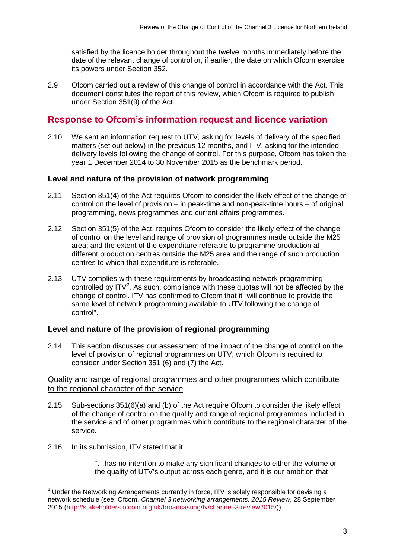satisfied by the licence holder throughout the twelve months immediately before the date of the relevant change of control or, if earlier, the date on which Ofcom exercise its powers under Section 352.

2.9 Ofcom carried out a review of this change of control in accordance with the Act. This document constitutes the report of this review, which Ofcom is required to publish under Section 351(9) of the Act.

# **Response to Ofcom's information request and licence variation**

2.10 We sent an information request to UTV, asking for levels of delivery of the specified matters (set out below) in the previous 12 months, and ITV, asking for the intended delivery levels following the change of control. For this purpose, Ofcom has taken the year 1 December 2014 to 30 November 2015 as the benchmark period.

### **Level and nature of the provision of network programming**

- 2.11 Section 351(4) of the Act requires Ofcom to consider the likely effect of the change of control on the level of provision – in peak-time and non-peak-time hours – of original programming, news programmes and current affairs programmes.
- 2.12 Section 351(5) of the Act, requires Ofcom to consider the likely effect of the change of control on the level and range of provision of programmes made outside the M25 area; and the extent of the expenditure referable to programme production at different production centres outside the M25 area and the range of such production centres to which that expenditure is referable.
- 2.13 UTV complies with these requirements by broadcasting network programming controlled by ITV<sup>[2](#page-5-0)</sup>. As such, compliance with these quotas will not be affected by the change of control. ITV has confirmed to Ofcom that it "will continue to provide the same level of network programming available to UTV following the change of control".

### **Level and nature of the provision of regional programming**

2.14 This section discusses our assessment of the impact of the change of control on the level of provision of regional programmes on UTV, which Ofcom is required to consider under Section 351 (6) and (7) the Act.

#### Quality and range of regional programmes and other programmes which contribute to the regional character of the service

- 2.15 Sub-sections 351(6)(a) and (b) of the Act require Ofcom to consider the likely effect of the change of control on the quality and range of regional programmes included in the service and of other programmes which contribute to the regional character of the service.
- 2.16 In its submission, ITV stated that it:

"…has no intention to make any significant changes to either the volume or the quality of UTV's output across each genre, and it is our ambition that

<span id="page-5-0"></span> $2$  Under the Networking Arrangements currently in force, ITV is solely responsible for devising a network schedule (see: Ofcom, *Channel 3 networking arrangements: 2015 Review*, 28 September 2015 [\(http://stakeholders.ofcom.org.uk/broadcasting/tv/channel-3-review2015/\)](http://stakeholders.ofcom.org.uk/broadcasting/tv/channel-3-review2015/)).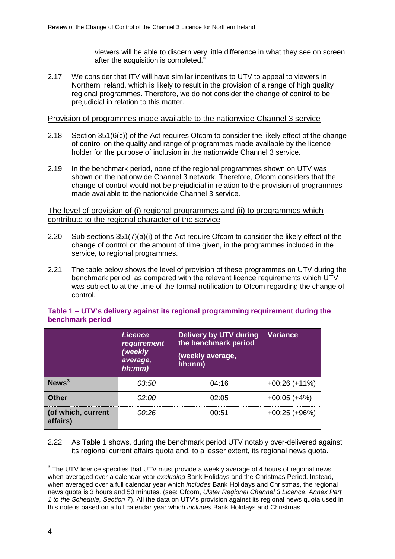viewers will be able to discern very little difference in what they see on screen after the acquisition is completed."

2.17 We consider that ITV will have similar incentives to UTV to appeal to viewers in Northern Ireland, which is likely to result in the provision of a range of high quality regional programmes. Therefore, we do not consider the change of control to be prejudicial in relation to this matter.

#### Provision of programmes made available to the nationwide Channel 3 service

- 2.18 Section 351(6(c)) of the Act requires Ofcom to consider the likely effect of the change of control on the quality and range of programmes made available by the licence holder for the purpose of inclusion in the nationwide Channel 3 service.
- 2.19 In the benchmark period, none of the regional programmes shown on UTV was shown on the nationwide Channel 3 network. Therefore, Ofcom considers that the change of control would not be prejudicial in relation to the provision of programmes made available to the nationwide Channel 3 service.

The level of provision of (i) regional programmes and (ii) to programmes which contribute to the regional character of the service

- 2.20 Sub-sections 351(7)(a)(i) of the Act require Ofcom to consider the likely effect of the change of control on the amount of time given, in the programmes included in the service, to regional programmes.
- 2.21 The table below shows the level of provision of these programmes on UTV during the benchmark period, as compared with the relevant licence requirements which UTV was subject to at the time of the formal notification to Ofcom regarding the change of control.

|                                | <b>Licence</b><br>requirement<br>(weekly<br>average,<br>$hh$ : $mm$ ) | <b>Delivery by UTV during</b><br>the benchmark period<br>(weekly average,<br>hh:mm) | <b>Variance</b> |
|--------------------------------|-----------------------------------------------------------------------|-------------------------------------------------------------------------------------|-----------------|
| $N$ ews <sup>3</sup>           | 03:50                                                                 | 04:16                                                                               | $+00:26 (+11%)$ |
| <b>Other</b>                   | 02.OO                                                                 | 02.05                                                                               | $+00:05 (+4%)$  |
| (of which, current<br>affairs) | 00 <sup>.</sup> 26                                                    | 00:51                                                                               | $+00:25 (+96%)$ |

#### **Table 1 – UTV's delivery against its regional programming requirement during the benchmark period**

2.22 As Table 1 shows, during the benchmark period UTV notably over-delivered against its regional current affairs quota and, to a lesser extent, its regional news quota.

<span id="page-6-0"></span> $3$  The UTV licence specifies that UTV must provide a weekly average of 4 hours of regional news when averaged over a calendar year *excluding* Bank Holidays and the Christmas Period. Instead, when averaged over a full calendar year which *includes* Bank Holidays and Christmas, the regional news quota is 3 hours and 50 minutes. (see: Ofcom, *Ulster Regional Channel 3 Licence*, *Annex Part 1 to the Schedule, Section 7*). All the data on UTV's provision against its regional news quota used in this note is based on a full calendar year which *includes* Bank Holidays and Christmas.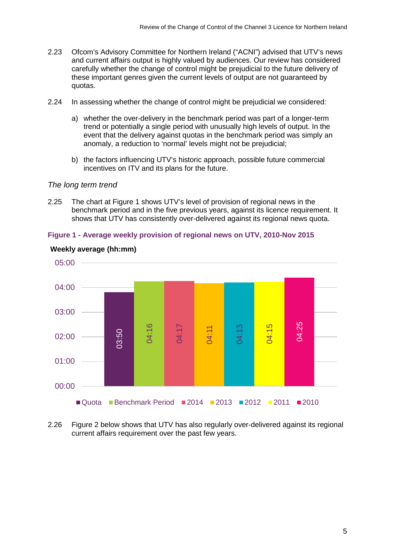- 2.23 Ofcom's Advisory Committee for Northern Ireland ("ACNI") advised that UTV's news and current affairs output is highly valued by audiences. Our review has considered carefully whether the change of control might be prejudicial to the future delivery of these important genres given the current levels of output are not guaranteed by quotas.
- 2.24 In assessing whether the change of control might be prejudicial we considered:
	- a) whether the over-delivery in the benchmark period was part of a longer-term trend or potentially a single period with unusually high levels of output. In the event that the delivery against quotas in the benchmark period was simply an anomaly, a reduction to 'normal' levels might not be prejudicial;
	- b) the factors influencing UTV's historic approach, possible future commercial incentives on ITV and its plans for the future.

#### *The long term trend*

2.25 The chart at Figure 1 shows UTV's level of provision of regional news in the benchmark period and in the five previous years, against its licence requirement. It shows that UTV has consistently over-delivered against its regional news quota.



#### **Figure 1 - Average weekly provision of regional news on UTV, 2010-Nov 2015**

2.26 Figure 2 below shows that UTV has also regularly over-delivered against its regional

#### **Weekly average (hh:mm)**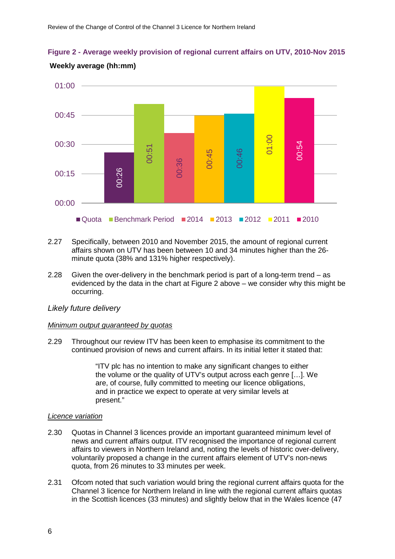**Figure 2 - Average weekly provision of regional current affairs on UTV, 2010-Nov 2015**



## **Weekly average (hh:mm)**

- 2.27 Specifically, between 2010 and November 2015, the amount of regional current affairs shown on UTV has been between 10 and 34 minutes higher than the 26 minute quota (38% and 131% higher respectively).
- 2.28 Given the over-delivery in the benchmark period is part of a long-term trend as evidenced by the data in the chart at Figure 2 above – we consider why this might be occurring.

### *Likely future delivery*

#### *Minimum output guaranteed by quotas*

2.29 Throughout our review ITV has been keen to emphasise its commitment to the continued provision of news and current affairs. In its initial letter it stated that:

> "ITV plc has no intention to make any significant changes to either the volume or the quality of UTV's output across each genre […]. We are, of course, fully committed to meeting our licence obligations, and in practice we expect to operate at very similar levels at present."

#### *Licence variation*

- 2.30 Quotas in Channel 3 licences provide an important guaranteed minimum level of news and current affairs output. ITV recognised the importance of regional current affairs to viewers in Northern Ireland and, noting the levels of historic over-delivery, voluntarily proposed a change in the current affairs element of UTV's non-news quota, from 26 minutes to 33 minutes per week.
- 2.31 Ofcom noted that such variation would bring the regional current affairs quota for the Channel 3 licence for Northern Ireland in line with the regional current affairs quotas in the Scottish licences (33 minutes) and slightly below that in the Wales licence (47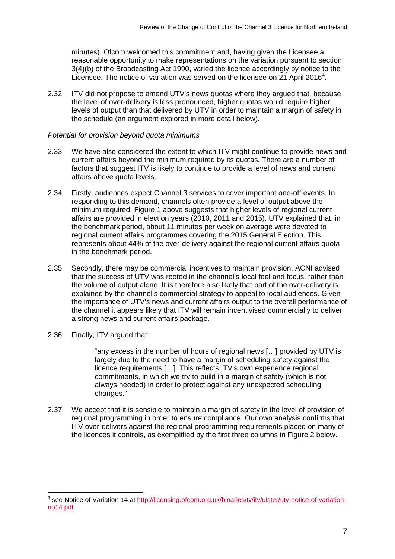minutes). Ofcom welcomed this commitment and, having given the Licensee a reasonable opportunity to make representations on the variation pursuant to section 3(4)(b) of the Broadcasting Act 1990, varied the licence accordingly by notice to the Licensee. The notice of variation was served on the licensee on  $21$  April 2016<sup>[4](#page-9-0)</sup>.

2.32 ITV did not propose to amend UTV's news quotas where they argued that, because the level of over-delivery is less pronounced, higher quotas would require higher levels of output than that delivered by UTV in order to maintain a margin of safety in the schedule (an argument explored in more detail below).

#### *Potential for provision beyond quota minimums*

- 2.33 We have also considered the extent to which ITV might continue to provide news and current affairs beyond the minimum required by its quotas. There are a number of factors that suggest ITV is likely to continue to provide a level of news and current affairs above quota levels.
- 2.34 Firstly, audiences expect Channel 3 services to cover important one-off events. In responding to this demand, channels often provide a level of output above the minimum required. Figure 1 above suggests that higher levels of regional current affairs are provided in election years (2010, 2011 and 2015). UTV explained that, in the benchmark period, about 11 minutes per week on average were devoted to regional current affairs programmes covering the 2015 General Election. This represents about 44% of the over-delivery against the regional current affairs quota in the benchmark period.
- 2.35 Secondly, there may be commercial incentives to maintain provision. ACNI advised that the success of UTV was rooted in the channel's local feel and focus, rather than the volume of output alone. It is therefore also likely that part of the over-delivery is explained by the channel's commercial strategy to appeal to local audiences. Given the importance of UTV's news and current affairs output to the overall performance of the channel it appears likely that ITV will remain incentivised commercially to deliver a strong news and current affairs package.
- 2.36 Finally, ITV argued that:

"any excess in the number of hours of regional news […] provided by UTV is largely due to the need to have a margin of scheduling safety against the licence requirements […]. This reflects ITV's own experience regional commitments, in which we try to build in a margin of safety (which is not always needed) in order to protect against any unexpected scheduling changes."

2.37 We accept that it is sensible to maintain a margin of safety in the level of provision of regional programming in order to ensure compliance. Our own analysis confirms that ITV over-delivers against the regional programming requirements placed on many of the licences it controls, as exemplified by the first three columns in Figure 2 below.

<span id="page-9-0"></span><sup>&</sup>lt;sup>4</sup> see Notice of Variation 14 at [http://licensing.ofcom.org.uk/binaries/tv/itv/ulster/utv-notice-of-variation](http://licensing.ofcom.org.uk/binaries/tv/itv/ulster/utv-notice-of-variation-no14.pdf)[no14.pdf](http://licensing.ofcom.org.uk/binaries/tv/itv/ulster/utv-notice-of-variation-no14.pdf)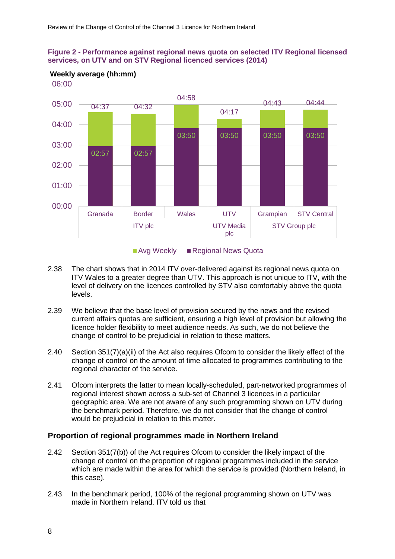



## **Weekly average (hh:mm)**

Avg Weekly Regional News Quota

- 2.38 The chart shows that in 2014 ITV over-delivered against its regional news quota on ITV Wales to a greater degree than UTV. This approach is not unique to ITV, with the level of delivery on the licences controlled by STV also comfortably above the quota levels.
- 2.39 We believe that the base level of provision secured by the news and the revised current affairs quotas are sufficient, ensuring a high level of provision but allowing the licence holder flexibility to meet audience needs. As such, we do not believe the change of control to be prejudicial in relation to these matters.
- 2.40 Section 351(7)(a)(ii) of the Act also requires Ofcom to consider the likely effect of the change of control on the amount of time allocated to programmes contributing to the regional character of the service.
- 2.41 Ofcom interprets the latter to mean locally-scheduled, part-networked programmes of regional interest shown across a sub-set of Channel 3 licences in a particular geographic area. We are not aware of any such programming shown on UTV during the benchmark period. Therefore, we do not consider that the change of control would be prejudicial in relation to this matter.

### **Proportion of regional programmes made in Northern Ireland**

- 2.42 Section 351(7(b)) of the Act requires Ofcom to consider the likely impact of the change of control on the proportion of regional programmes included in the service which are made within the area for which the service is provided (Northern Ireland, in this case).
- 2.43 In the benchmark period, 100% of the regional programming shown on UTV was made in Northern Ireland. ITV told us that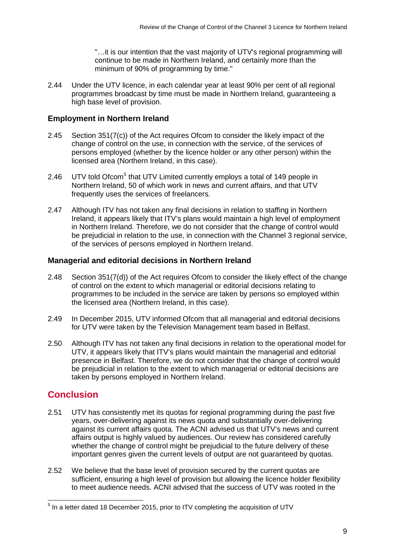"…it is our intention that the vast majority of UTV's regional programming will continue to be made in Northern Ireland, and certainly more than the minimum of 90% of programming by time."

2.44 Under the UTV licence, in each calendar year at least 90% per cent of all regional programmes broadcast by time must be made in Northern Ireland, guaranteeing a high base level of provision.

## **Employment in Northern Ireland**

- 2.45 Section 351(7(c)) of the Act requires Ofcom to consider the likely impact of the change of control on the use, in connection with the service, of the services of persons employed (whether by the licence holder or any other person) within the licensed area (Northern Ireland, in this case).
- 2.46 UTV told Ofcom<sup>[5](#page-11-0)</sup> that UTV Limited currently employs a total of 149 people in Northern Ireland, 50 of which work in news and current affairs, and that UTV frequently uses the services of freelancers.
- 2.47 Although ITV has not taken any final decisions in relation to staffing in Northern Ireland, it appears likely that ITV's plans would maintain a high level of employment in Northern Ireland. Therefore, we do not consider that the change of control would be prejudicial in relation to the use, in connection with the Channel 3 regional service, of the services of persons employed in Northern Ireland.

### **Managerial and editorial decisions in Northern Ireland**

- 2.48 Section 351(7(d)) of the Act requires Ofcom to consider the likely effect of the change of control on the extent to which managerial or editorial decisions relating to programmes to be included in the service are taken by persons so employed within the licensed area (Northern Ireland, in this case).
- 2.49 In December 2015, UTV informed Ofcom that all managerial and editorial decisions for UTV were taken by the Television Management team based in Belfast.
- 2.50 Although ITV has not taken any final decisions in relation to the operational model for UTV, it appears likely that ITV's plans would maintain the managerial and editorial presence in Belfast. Therefore, we do not consider that the change of control would be prejudicial in relation to the extent to which managerial or editorial decisions are taken by persons employed in Northern Ireland.

# **Conclusion**

- 2.51 UTV has consistently met its quotas for regional programming during the past five years, over-delivering against its news quota and substantially over-delivering against its current affairs quota. The ACNI advised us that UTV's news and current affairs output is highly valued by audiences. Our review has considered carefully whether the change of control might be prejudicial to the future delivery of these important genres given the current levels of output are not guaranteed by quotas.
- 2.52 We believe that the base level of provision secured by the current quotas are sufficient, ensuring a high level of provision but allowing the licence holder flexibility to meet audience needs. ACNI advised that the success of UTV was rooted in the

<span id="page-11-0"></span> $<sup>5</sup>$  In a letter dated 18 December 2015, prior to ITV completing the acquisition of UTV</sup>